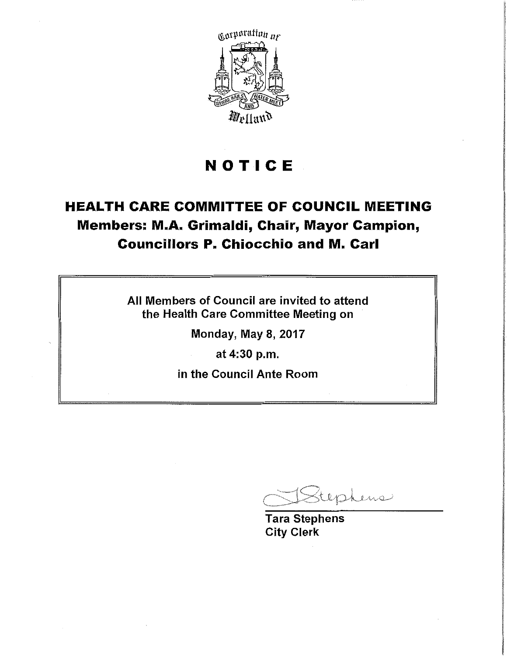

# **NOTICE**

# **HEALTH CARE COMMITTEE OF COUNCIL MEETING Members: M.A. Grimaldi, Chair, Mayor Campion, Councillors P. Chiocchio and M. Carl**

All Members of Council are invited to attend the Health Care Committee Meeting on Ĵ

Monday, May 8, 2017

at 4:30 p.m.

in the Council Ante Room

tephens

Tara Stephens City Clerk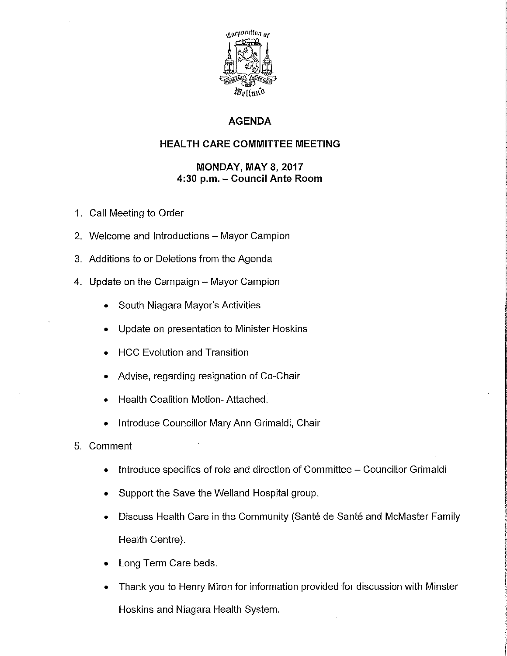

## **AGENDA**

## **HEAL TH CARE COMMITTEE MEETING**

## **MONDAY, MAY 8, 2017 4:30 p.m. - Council Ante Room**

- 1. Call Meeting to Order
- 2. Welcome and Introductions Mayor Campion
- 3. Additions to or Deletions from the Agenda
- 4. Update on the Campaign Mayor Campion
	- South Niagara Mayor's Activities
	- Update on presentation to Minister Hoskins
	- **HCC Evolution and Transition**
	- Advise, regarding resignation of Co-Chair
	- **Health Coalition Motion- Attached.**
	- Introduce Councillor Mary Ann Grimaldi, Chair
- 5. Comment
	- Introduce specifics of role and direction of Committee Councillor Grimaldi
	- Support the Save the Welland Hospital group.
	- Discuss Health Care in the Community (Santé de Santé and McMaster Family Health Centre).
	- Long Term Care beds.
	- Thank you to Henry Miron for information provided for discussion with Minster Hoskins and Niagara Health System.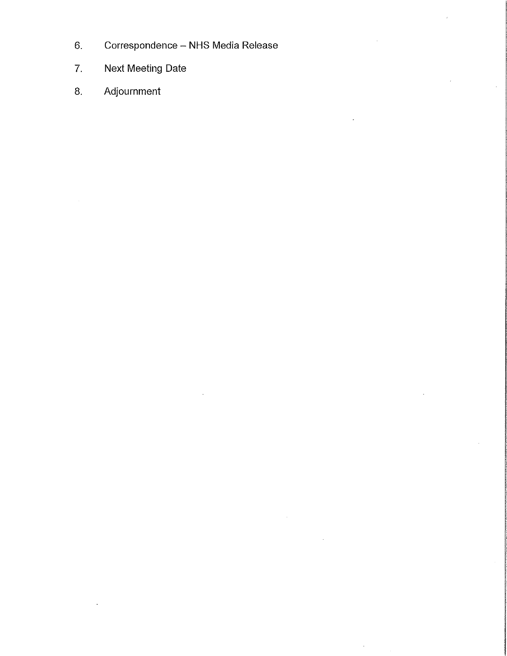- 6. Correspondence NHS Media Release
- 7. Next Meeting Date
- 8. Adjournment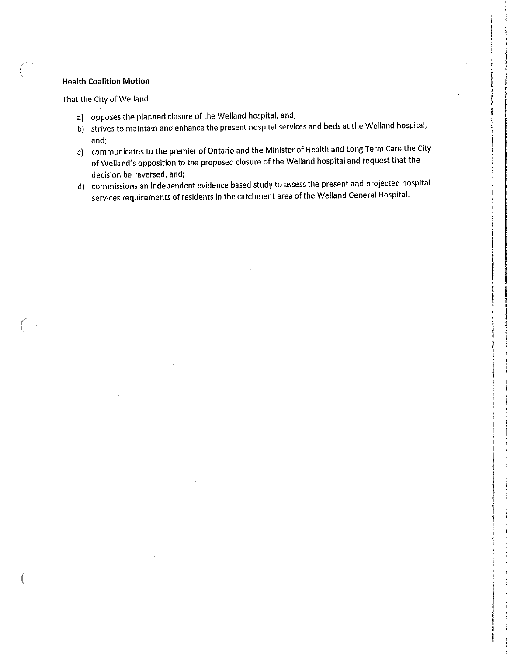#### **Health Coalition Motion**

 $\big($ 

 $\left($ 

That the City of Welland

- a) opposes the planned closure of the Welland hospital, and;
- b) strives to maintain and enhance the present hospital services and beds at the Welland hospital, and;
- c) communicates to the premier of Ontario and the Minister of Health and Long Term Care the City of Welland's opposition to the proposed closure of the Welland hospital and request that the decision be reversed, and;
- d) commissions an independent evidence based study to assess the present and projected hospital services requirements of residents In the catchment area of the Welland General Hospital.

 $\blacksquare$ 

**International Control**<br>International Control<br>International Control<br>International Control<br>International Control<br>International Control

 $\overline{\phantom{a}}$ 

ikalan kecamatan ini dikenalan kecamatan<br>Inggris di kecamatan ini dikenalan kecamatan<br>Inggris di kecamatan ini dikenalan kecamatan

' ! ' ' ועפסיףנכילוב!!?<br>אטפסיףנכילוב!!? ! ' t it is the following.<br>Histories of the company ' I i<br>internet

ļį. interaktions.com/<br>International/International/International/International/International/International/International/Internationa IGN 1979

|<br>|-<br>| ISO |<br>| ISO |<br>| ISO |<br>| ISO |<br>| ISO |<br>| ISO |<br>| ISO |<br>| ISO |<br>| ISO |<br>| ISO |<br>| ISO |<br>| ISO |<br>| ISO |<br>| ISO |<br>| ISO |<br>| ISO |<br>| ISO |<br>| ISO |<br>| ISO |

in a shekarar 2012.<br>Bayan J;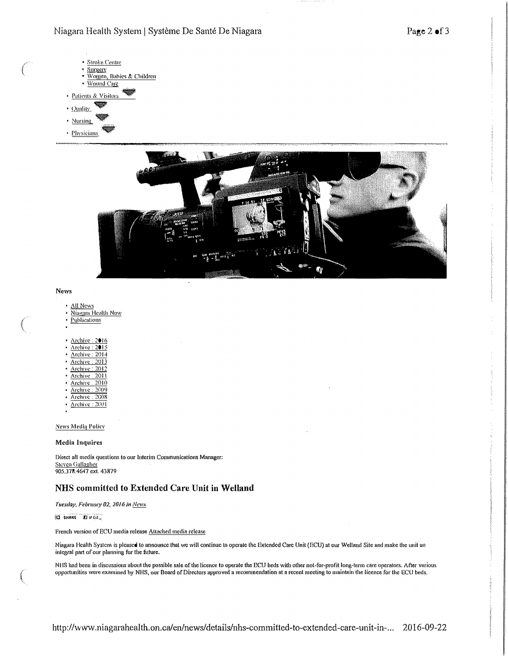### Niagara Health System | Système De Santé De Niagara

- · Stroke Centre Surgery  $\bullet$ Women, Babies & Children  $\bullet$ · Wound Care · Patients & Visitors
- · Quality
- · Nursing
- · Physicians.



#### News

- All News
- Niagara Health Now
- **Publications**
- Archive: 2016
- Archive: 2015
- Archive: 2014
- Archive: 2013
- Archive: 2012
- Archive: 2011
- Archive, 2010
- Archive: 2009
- Archive:  $2008$ Archive: 2001
- 

**News Media Policy** 

#### **Media Inquires**

Direct all media questions to our Interim Communications Manager: **Steven Gallagher** 905.378.4647 ext. 43879

### NHS committed to Extended Care Unit in Welland

Tuesday, February 02, 2016 in Neves

(C) SHARE KINGS

French version of ECU media release Attached media release

Niagara Health System is pleased to announce that we will continue to operate the Extended Care Unit (ECU) at our Welland Site and make the unit an integral part of our planning for the future.

NHS had been in discussions about the possible sale of the licence to operate the ECU beds with other not-for-profit long-term care operators. After various opportunities were examined by NHS, our Board of Directors approved a recommendation at a recent meeting to maintain the licence for the ECU beds.